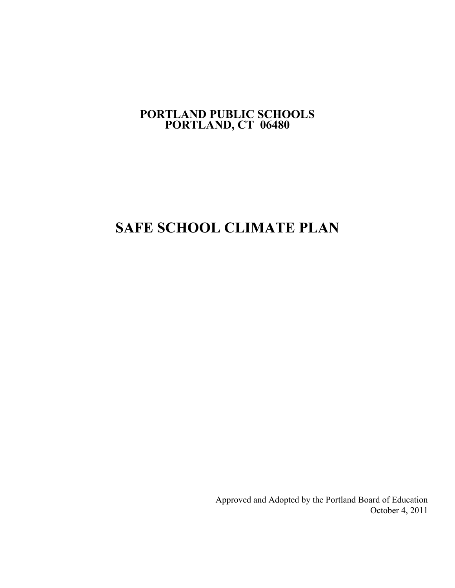# **PORTLAND PUBLIC SCHOOLS PORTLAND, CT 06480**

# **SAFE SCHOOL CLIMATE PLAN**

Approved and Adopted by the Portland Board of Education October 4, 2011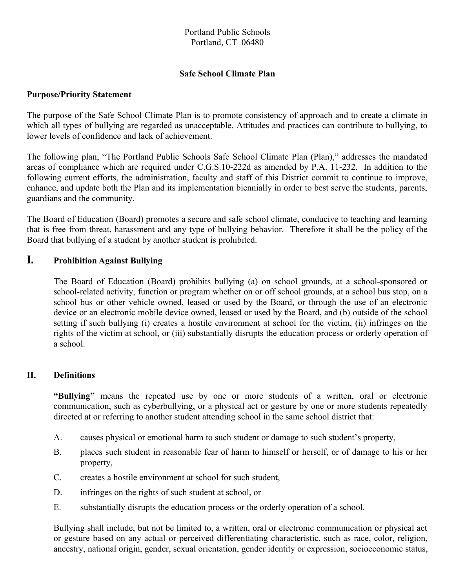# Portland Public Schools Portland, CT 06480

# **Safe School Climate Plan**

# **Purpose/Priority Statement**

The purpose of the Safe School Climate Plan is to promote consistency of approach and to create a climate in which all types of bullying are regarded as unacceptable. Attitudes and practices can contribute to bullying, to lower levels of confidence and lack of achievement.

The following plan, "The Portland Public Schools Safe School Climate Plan (Plan)," addresses the mandated areas of compliance which are required under C.G.S.10-222d as amended by P.A. 11-232. In addition to the following current efforts, the administration, faculty and staff of this District commit to continue to improve, enhance, and update both the Plan and its implementation biennially in order to best serve the students, parents, guardians and the community.

The Board of Education (Board) promotes a secure and safe school climate, conducive to teaching and learning that is free from threat, harassment and any type of bullying behavior. Therefore it shall be the policy of the Board that bullying of a student by another student is prohibited.

# **I. Prohibition Against Bullying**

The Board of Education (Board) prohibits bullying (a) on school grounds, at a school-sponsored or school-related activity, function or program whether on or off school grounds, at a school bus stop, on a school bus or other vehicle owned, leased or used by the Board, or through the use of an electronic device or an electronic mobile device owned, leased or used by the Board, and (b) outside of the school setting if such bullying (i) creates a hostile environment at school for the victim, (ii) infringes on the rights of the victim at school, or (iii) substantially disrupts the education process or orderly operation of a school.

# **II. Definitions**

**"Bullying"** means the repeated use by one or more students of a written, oral or electronic communication, such as cyberbullying, or a physical act or gesture by one or more students repeatedly directed at or referring to another student attending school in the same school district that:

- A. causes physical or emotional harm to such student or damage to such student's property,
- B. places such student in reasonable fear of harm to himself or herself, or of damage to his or her property,
- C. creates a hostile environment at school for such student,
- D. infringes on the rights of such student at school, or
- E. substantially disrupts the education process or the orderly operation of a school.

Bullying shall include, but not be limited to, a written, oral or electronic communication or physical act or gesture based on any actual or perceived differentiating characteristic, such as race, color, religion, ancestry, national origin, gender, sexual orientation, gender identity or expression, socioeconomic status,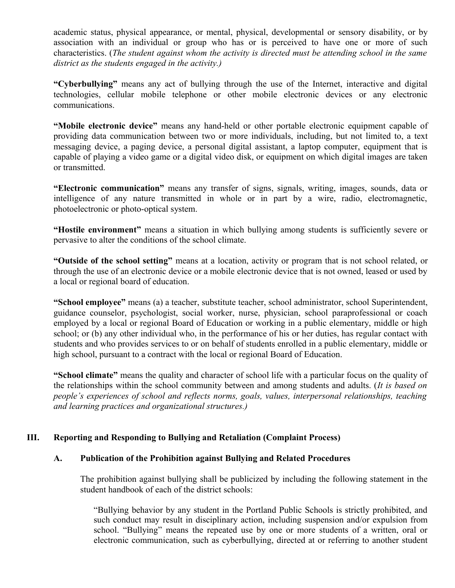academic status, physical appearance, or mental, physical, developmental or sensory disability, or by association with an individual or group who has or is perceived to have one or more of such characteristics. (*The student against whom the activity is directed must be attending school in the same district as the students engaged in the activity.)*

**"Cyberbullying"** means any act of bullying through the use of the Internet, interactive and digital technologies, cellular mobile telephone or other mobile electronic devices or any electronic communications.

**"Mobile electronic device"** means any hand-held or other portable electronic equipment capable of providing data communication between two or more individuals, including, but not limited to, a text messaging device, a paging device, a personal digital assistant, a laptop computer, equipment that is capable of playing a video game or a digital video disk, or equipment on which digital images are taken or transmitted.

**"Electronic communication"** means any transfer of signs, signals, writing, images, sounds, data or intelligence of any nature transmitted in whole or in part by a wire, radio, electromagnetic, photoelectronic or photo-optical system.

**"Hostile environment"** means a situation in which bullying among students is sufficiently severe or pervasive to alter the conditions of the school climate.

**"Outside of the school setting"** means at a location, activity or program that is not school related, or through the use of an electronic device or a mobile electronic device that is not owned, leased or used by a local or regional board of education.

**"School employee"** means (a) a teacher, substitute teacher, school administrator, school Superintendent, guidance counselor, psychologist, social worker, nurse, physician, school paraprofessional or coach employed by a local or regional Board of Education or working in a public elementary, middle or high school; or (b) any other individual who, in the performance of his or her duties, has regular contact with students and who provides services to or on behalf of students enrolled in a public elementary, middle or high school, pursuant to a contract with the local or regional Board of Education.

**"School climate"** means the quality and character of school life with a particular focus on the quality of the relationships within the school community between and among students and adults. (*It is based on people's experiences of school and reflects norms, goals, values, interpersonal relationships, teaching and learning practices and organizational structures.)* 

# **III. Reporting and Responding to Bullying and Retaliation (Complaint Process)**

#### **A. Publication of the Prohibition against Bullying and Related Procedures**

The prohibition against bullying shall be publicized by including the following statement in the student handbook of each of the district schools:

"Bullying behavior by any student in the Portland Public Schools is strictly prohibited, and such conduct may result in disciplinary action, including suspension and/or expulsion from school. "Bullying" means the repeated use by one or more students of a written, oral or electronic communication, such as cyberbullying, directed at or referring to another student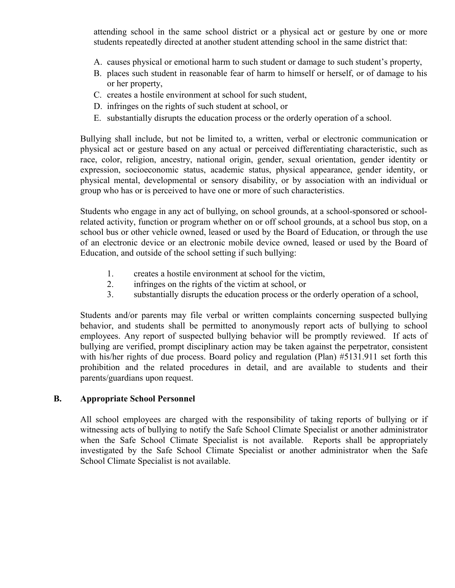attending school in the same school district or a physical act or gesture by one or more students repeatedly directed at another student attending school in the same district that:

- A. causes physical or emotional harm to such student or damage to such student's property,
- B. places such student in reasonable fear of harm to himself or herself, or of damage to his or her property,
- C. creates a hostile environment at school for such student,
- D. infringes on the rights of such student at school, or
- E. substantially disrupts the education process or the orderly operation of a school.

Bullying shall include, but not be limited to, a written, verbal or electronic communication or physical act or gesture based on any actual or perceived differentiating characteristic, such as race, color, religion, ancestry, national origin, gender, sexual orientation, gender identity or expression, socioeconomic status, academic status, physical appearance, gender identity, or physical mental, developmental or sensory disability, or by association with an individual or group who has or is perceived to have one or more of such characteristics.

Students who engage in any act of bullying, on school grounds, at a school-sponsored or schoolrelated activity, function or program whether on or off school grounds, at a school bus stop, on a school bus or other vehicle owned, leased or used by the Board of Education, or through the use of an electronic device or an electronic mobile device owned, leased or used by the Board of Education, and outside of the school setting if such bullying:

- 1. creates a hostile environment at school for the victim,
- 2. infringes on the rights of the victim at school, or
- 3. substantially disrupts the education process or the orderly operation of a school,

Students and/or parents may file verbal or written complaints concerning suspected bullying behavior, and students shall be permitted to anonymously report acts of bullying to school employees. Any report of suspected bullying behavior will be promptly reviewed. If acts of bullying are verified, prompt disciplinary action may be taken against the perpetrator, consistent with his/her rights of due process. Board policy and regulation (Plan) #5131.911 set forth this prohibition and the related procedures in detail, and are available to students and their parents/guardians upon request.

# **B. Appropriate School Personnel**

All school employees are charged with the responsibility of taking reports of bullying or if witnessing acts of bullying to notify the Safe School Climate Specialist or another administrator when the Safe School Climate Specialist is not available. Reports shall be appropriately investigated by the Safe School Climate Specialist or another administrator when the Safe School Climate Specialist is not available.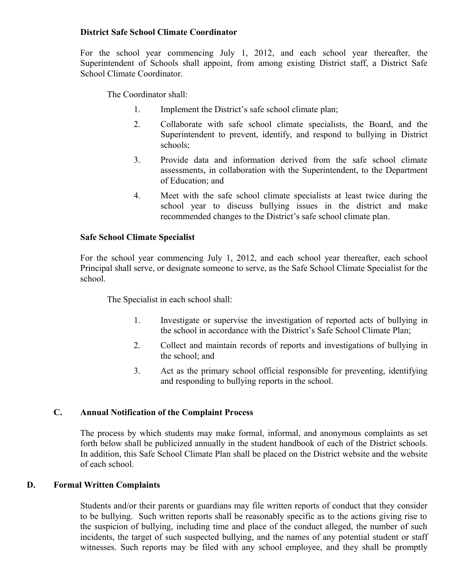# **District Safe School Climate Coordinator**

For the school year commencing July 1, 2012, and each school year thereafter, the Superintendent of Schools shall appoint, from among existing District staff, a District Safe School Climate Coordinator.

The Coordinator shall:

- 1. Implement the District's safe school climate plan;
- 2. Collaborate with safe school climate specialists, the Board, and the Superintendent to prevent, identify, and respond to bullying in District schools;
- 3. Provide data and information derived from the safe school climate assessments, in collaboration with the Superintendent, to the Department of Education; and
- 4. Meet with the safe school climate specialists at least twice during the school year to discuss bullying issues in the district and make recommended changes to the District's safe school climate plan.

#### **Safe School Climate Specialist**

For the school year commencing July 1, 2012, and each school year thereafter, each school Principal shall serve, or designate someone to serve, as the Safe School Climate Specialist for the school.

The Specialist in each school shall:

- 1. Investigate or supervise the investigation of reported acts of bullying in the school in accordance with the District's Safe School Climate Plan;
- 2. Collect and maintain records of reports and investigations of bullying in the school; and
- 3. Act as the primary school official responsible for preventing, identifying and responding to bullying reports in the school.

### **C. Annual Notification of the Complaint Process**

The process by which students may make formal, informal, and anonymous complaints as set forth below shall be publicized annually in the student handbook of each of the District schools. In addition, this Safe School Climate Plan shall be placed on the District website and the website of each school.

#### **D. Formal Written Complaints**

Students and/or their parents or guardians may file written reports of conduct that they consider to be bullying. Such written reports shall be reasonably specific as to the actions giving rise to the suspicion of bullying, including time and place of the conduct alleged, the number of such incidents, the target of such suspected bullying, and the names of any potential student or staff witnesses. Such reports may be filed with any school employee, and they shall be promptly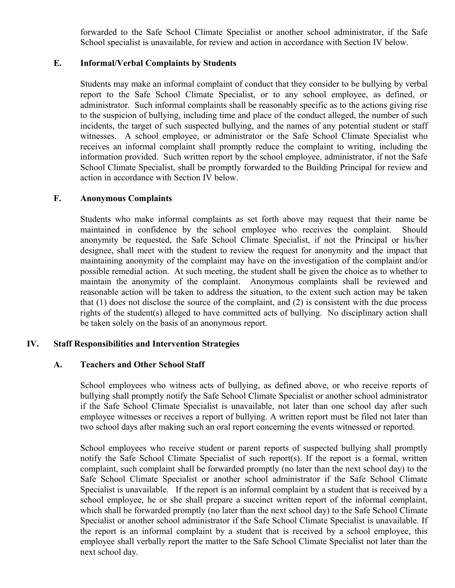forwarded to the Safe School Climate Specialist or another school administrator, if the Safe School specialist is unavailable, for review and action in accordance with Section IV below.

#### **E. Informal/Verbal Complaints by Students**

Students may make an informal complaint of conduct that they consider to be bullying by verbal report to the Safe School Climate Specialist, or to any school employee, as defined, or administrator. Such informal complaints shall be reasonably specific as to the actions giving rise to the suspicion of bullying, including time and place of the conduct alleged, the number of such incidents, the target of such suspected bullying, and the names of any potential student or staff witnesses. A school employee, or administrator or the Safe School Climate Specialist who receives an informal complaint shall promptly reduce the complaint to writing, including the information provided. Such written report by the school employee, administrator, if not the Safe School Climate Specialist, shall be promptly forwarded to the Building Principal for review and action in accordance with Section IV below.

#### **F. Anonymous Complaints**

Students who make informal complaints as set forth above may request that their name be maintained in confidence by the school employee who receives the complaint. Should anonymity be requested, the Safe School Climate Specialist, if not the Principal or his/her designee, shall meet with the student to review the request for anonymity and the impact that maintaining anonymity of the complaint may have on the investigation of the complaint and/or possible remedial action. At such meeting, the student shall be given the choice as to whether to maintain the anonymity of the complaint. Anonymous complaints shall be reviewed and reasonable action will be taken to address the situation, to the extent such action may be taken that (1) does not disclose the source of the complaint, and (2) is consistent with the due process rights of the student(s) alleged to have committed acts of bullying. No disciplinary action shall be taken solely on the basis of an anonymous report.

#### **IV. Staff Responsibilities and Intervention Strategies**

#### **A. Teachers and Other School Staff**

School employees who witness acts of bullying, as defined above, or who receive reports of bullying shall promptly notify the Safe School Climate Specialist or another school administrator if the Safe School Climate Specialist is unavailable, not later than one school day after such employee witnesses or receives a report of bullying. A written report must be filed not later than two school days after making such an oral report concerning the events witnessed or reported.

School employees who receive student or parent reports of suspected bullying shall promptly notify the Safe School Climate Specialist of such report(s). If the report is a formal, written complaint, such complaint shall be forwarded promptly (no later than the next school day) to the Safe School Climate Specialist or another school administrator if the Safe School Climate Specialist is unavailable. If the report is an informal complaint by a student that is received by a school employee, he or she shall prepare a succinct written report of the informal complaint, which shall be forwarded promptly (no later than the next school day) to the Safe School Climate Specialist or another school administrator if the Safe School Climate Specialist is unavailable. If the report is an informal complaint by a student that is received by a school employee, this employee shall verbally report the matter to the Safe School Climate Specialist not later than the next school day.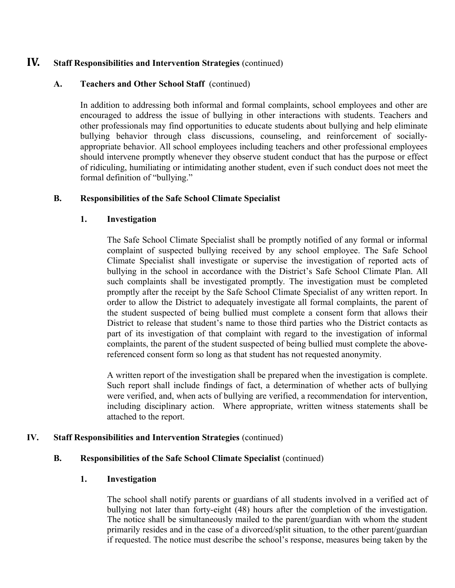# **IV. Staff Responsibilities and Intervention Strategies** (continued)

# **A. Teachers and Other School Staff** (continued)

In addition to addressing both informal and formal complaints, school employees and other are encouraged to address the issue of bullying in other interactions with students. Teachers and other professionals may find opportunities to educate students about bullying and help eliminate bullying behavior through class discussions, counseling, and reinforcement of sociallyappropriate behavior. All school employees including teachers and other professional employees should intervene promptly whenever they observe student conduct that has the purpose or effect of ridiculing, humiliating or intimidating another student, even if such conduct does not meet the formal definition of "bullying."

#### **B. Responsibilities of the Safe School Climate Specialist**

# **1. Investigation**

The Safe School Climate Specialist shall be promptly notified of any formal or informal complaint of suspected bullying received by any school employee. The Safe School Climate Specialist shall investigate or supervise the investigation of reported acts of bullying in the school in accordance with the District's Safe School Climate Plan. All such complaints shall be investigated promptly. The investigation must be completed promptly after the receipt by the Safe School Climate Specialist of any written report. In order to allow the District to adequately investigate all formal complaints, the parent of the student suspected of being bullied must complete a consent form that allows their District to release that student's name to those third parties who the District contacts as part of its investigation of that complaint with regard to the investigation of informal complaints, the parent of the student suspected of being bullied must complete the abovereferenced consent form so long as that student has not requested anonymity.

A written report of the investigation shall be prepared when the investigation is complete. Such report shall include findings of fact, a determination of whether acts of bullying were verified, and, when acts of bullying are verified, a recommendation for intervention, including disciplinary action. Where appropriate, written witness statements shall be attached to the report.

#### **IV. Staff Responsibilities and Intervention Strategies** (continued)

# **B. Responsibilities of the Safe School Climate Specialist** (continued)

#### **1. Investigation**

The school shall notify parents or guardians of all students involved in a verified act of bullying not later than forty-eight (48) hours after the completion of the investigation. The notice shall be simultaneously mailed to the parent/guardian with whom the student primarily resides and in the case of a divorced/split situation, to the other parent/guardian if requested. The notice must describe the school's response, measures being taken by the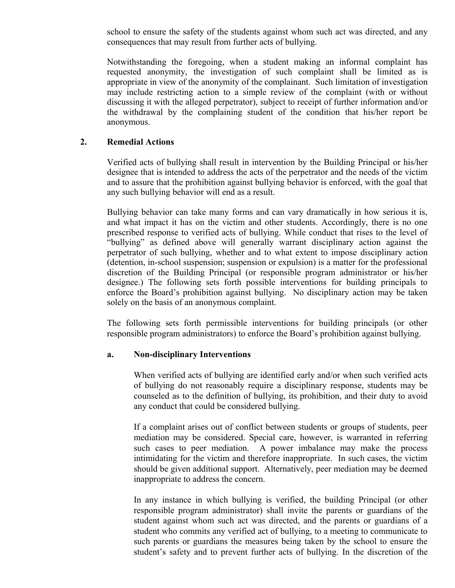school to ensure the safety of the students against whom such act was directed, and any consequences that may result from further acts of bullying.

Notwithstanding the foregoing, when a student making an informal complaint has requested anonymity, the investigation of such complaint shall be limited as is appropriate in view of the anonymity of the complainant. Such limitation of investigation may include restricting action to a simple review of the complaint (with or without discussing it with the alleged perpetrator), subject to receipt of further information and/or the withdrawal by the complaining student of the condition that his/her report be anonymous.

#### **2. Remedial Actions**

Verified acts of bullying shall result in intervention by the Building Principal or his/her designee that is intended to address the acts of the perpetrator and the needs of the victim and to assure that the prohibition against bullying behavior is enforced, with the goal that any such bullying behavior will end as a result.

Bullying behavior can take many forms and can vary dramatically in how serious it is, and what impact it has on the victim and other students. Accordingly, there is no one prescribed response to verified acts of bullying. While conduct that rises to the level of "bullying" as defined above will generally warrant disciplinary action against the perpetrator of such bullying, whether and to what extent to impose disciplinary action (detention, in-school suspension; suspension or expulsion) is a matter for the professional discretion of the Building Principal (or responsible program administrator or his/her designee.) The following sets forth possible interventions for building principals to enforce the Board's prohibition against bullying. No disciplinary action may be taken solely on the basis of an anonymous complaint.

The following sets forth permissible interventions for building principals (or other responsible program administrators) to enforce the Board's prohibition against bullying.

#### **a. Non-disciplinary Interventions**

When verified acts of bullying are identified early and/or when such verified acts of bullying do not reasonably require a disciplinary response, students may be counseled as to the definition of bullying, its prohibition, and their duty to avoid any conduct that could be considered bullying.

If a complaint arises out of conflict between students or groups of students, peer mediation may be considered. Special care, however, is warranted in referring such cases to peer mediation. A power imbalance may make the process intimidating for the victim and therefore inappropriate. In such cases, the victim should be given additional support. Alternatively, peer mediation may be deemed inappropriate to address the concern.

In any instance in which bullying is verified, the building Principal (or other responsible program administrator) shall invite the parents or guardians of the student against whom such act was directed, and the parents or guardians of a student who commits any verified act of bullying, to a meeting to communicate to such parents or guardians the measures being taken by the school to ensure the student's safety and to prevent further acts of bullying. In the discretion of the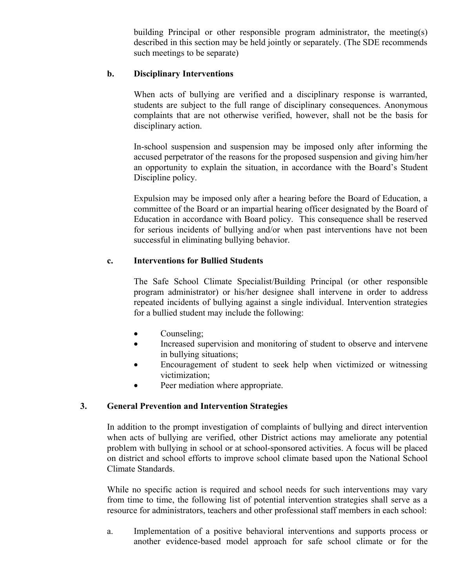building Principal or other responsible program administrator, the meeting(s) described in this section may be held jointly or separately. (The SDE recommends such meetings to be separate)

# **b. Disciplinary Interventions**

When acts of bullying are verified and a disciplinary response is warranted, students are subject to the full range of disciplinary consequences. Anonymous complaints that are not otherwise verified, however, shall not be the basis for disciplinary action.

In-school suspension and suspension may be imposed only after informing the accused perpetrator of the reasons for the proposed suspension and giving him/her an opportunity to explain the situation, in accordance with the Board's Student Discipline policy.

Expulsion may be imposed only after a hearing before the Board of Education, a committee of the Board or an impartial hearing officer designated by the Board of Education in accordance with Board policy. This consequence shall be reserved for serious incidents of bullying and/or when past interventions have not been successful in eliminating bullying behavior.

# **c. Interventions for Bullied Students**

The Safe School Climate Specialist/Building Principal (or other responsible program administrator) or his/her designee shall intervene in order to address repeated incidents of bullying against a single individual. Intervention strategies for a bullied student may include the following:

- Counseling;
- Increased supervision and monitoring of student to observe and intervene in bullying situations;
- Encouragement of student to seek help when victimized or witnessing victimization;
- Peer mediation where appropriate.

# **3. General Prevention and Intervention Strategies**

In addition to the prompt investigation of complaints of bullying and direct intervention when acts of bullying are verified, other District actions may ameliorate any potential problem with bullying in school or at school-sponsored activities. A focus will be placed on district and school efforts to improve school climate based upon the National School Climate Standards.

While no specific action is required and school needs for such interventions may vary from time to time, the following list of potential intervention strategies shall serve as a resource for administrators, teachers and other professional staff members in each school:

a. Implementation of a positive behavioral interventions and supports process or another evidence-based model approach for safe school climate or for the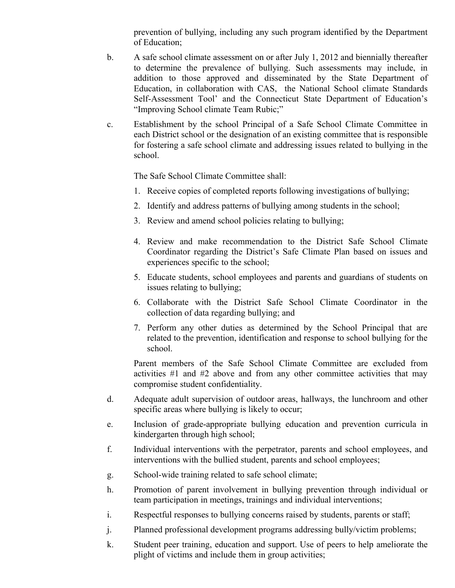prevention of bullying, including any such program identified by the Department of Education;

- b. A safe school climate assessment on or after July 1, 2012 and biennially thereafter to determine the prevalence of bullying. Such assessments may include, in addition to those approved and disseminated by the State Department of Education, in collaboration with CAS, the National School climate Standards Self-Assessment Tool' and the Connecticut State Department of Education's "Improving School climate Team Rubic;"
- c. Establishment by the school Principal of a Safe School Climate Committee in each District school or the designation of an existing committee that is responsible for fostering a safe school climate and addressing issues related to bullying in the school.

The Safe School Climate Committee shall:

- 1. Receive copies of completed reports following investigations of bullying;
- 2. Identify and address patterns of bullying among students in the school;
- 3. Review and amend school policies relating to bullying;
- 4. Review and make recommendation to the District Safe School Climate Coordinator regarding the District's Safe Climate Plan based on issues and experiences specific to the school;
- 5. Educate students, school employees and parents and guardians of students on issues relating to bullying;
- 6. Collaborate with the District Safe School Climate Coordinator in the collection of data regarding bullying; and
- 7. Perform any other duties as determined by the School Principal that are related to the prevention, identification and response to school bullying for the school.

Parent members of the Safe School Climate Committee are excluded from activities #1 and #2 above and from any other committee activities that may compromise student confidentiality.

- d. Adequate adult supervision of outdoor areas, hallways, the lunchroom and other specific areas where bullying is likely to occur;
- e. Inclusion of grade-appropriate bullying education and prevention curricula in kindergarten through high school;
- f. Individual interventions with the perpetrator, parents and school employees, and interventions with the bullied student, parents and school employees;
- g. School-wide training related to safe school climate;
- h. Promotion of parent involvement in bullying prevention through individual or team participation in meetings, trainings and individual interventions;
- i. Respectful responses to bullying concerns raised by students, parents or staff;
- j. Planned professional development programs addressing bully/victim problems;
- k. Student peer training, education and support. Use of peers to help ameliorate the plight of victims and include them in group activities;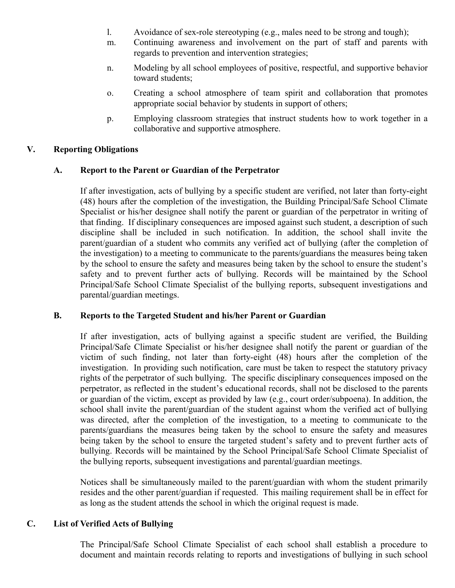- l. Avoidance of sex-role stereotyping (e.g., males need to be strong and tough);
- m. Continuing awareness and involvement on the part of staff and parents with regards to prevention and intervention strategies;
- n. Modeling by all school employees of positive, respectful, and supportive behavior toward students;
- o. Creating a school atmosphere of team spirit and collaboration that promotes appropriate social behavior by students in support of others;
- p. Employing classroom strategies that instruct students how to work together in a collaborative and supportive atmosphere.

# **V. Reporting Obligations**

# **A. Report to the Parent or Guardian of the Perpetrator**

If after investigation, acts of bullying by a specific student are verified, not later than forty-eight (48) hours after the completion of the investigation, the Building Principal/Safe School Climate Specialist or his/her designee shall notify the parent or guardian of the perpetrator in writing of that finding. If disciplinary consequences are imposed against such student, a description of such discipline shall be included in such notification. In addition, the school shall invite the parent/guardian of a student who commits any verified act of bullying (after the completion of the investigation) to a meeting to communicate to the parents/guardians the measures being taken by the school to ensure the safety and measures being taken by the school to ensure the student's safety and to prevent further acts of bullying. Records will be maintained by the School Principal/Safe School Climate Specialist of the bullying reports, subsequent investigations and parental/guardian meetings.

#### **B. Reports to the Targeted Student and his/her Parent or Guardian**

If after investigation, acts of bullying against a specific student are verified, the Building Principal/Safe Climate Specialist or his/her designee shall notify the parent or guardian of the victim of such finding, not later than forty-eight (48) hours after the completion of the investigation. In providing such notification, care must be taken to respect the statutory privacy rights of the perpetrator of such bullying. The specific disciplinary consequences imposed on the perpetrator, as reflected in the student's educational records, shall not be disclosed to the parents or guardian of the victim, except as provided by law (e.g., court order/subpoena). In addition, the school shall invite the parent/guardian of the student against whom the verified act of bullying was directed, after the completion of the investigation, to a meeting to communicate to the parents/guardians the measures being taken by the school to ensure the safety and measures being taken by the school to ensure the targeted student's safety and to prevent further acts of bullying. Records will be maintained by the School Principal/Safe School Climate Specialist of the bullying reports, subsequent investigations and parental/guardian meetings.

Notices shall be simultaneously mailed to the parent/guardian with whom the student primarily resides and the other parent/guardian if requested. This mailing requirement shall be in effect for as long as the student attends the school in which the original request is made.

# **C. List of Verified Acts of Bullying**

The Principal/Safe School Climate Specialist of each school shall establish a procedure to document and maintain records relating to reports and investigations of bullying in such school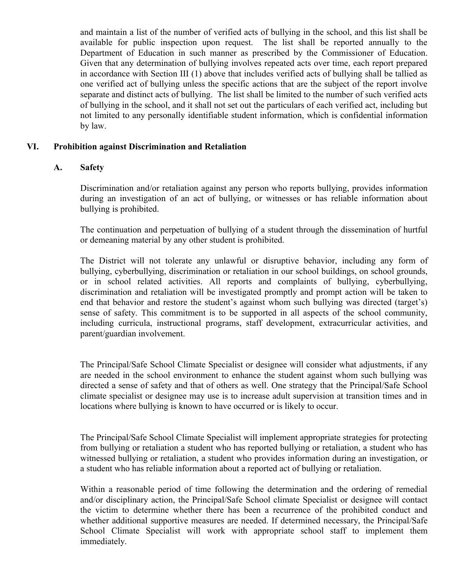and maintain a list of the number of verified acts of bullying in the school, and this list shall be available for public inspection upon request. The list shall be reported annually to the Department of Education in such manner as prescribed by the Commissioner of Education. Given that any determination of bullying involves repeated acts over time, each report prepared in accordance with Section III (1) above that includes verified acts of bullying shall be tallied as one verified act of bullying unless the specific actions that are the subject of the report involve separate and distinct acts of bullying. The list shall be limited to the number of such verified acts of bullying in the school, and it shall not set out the particulars of each verified act, including but not limited to any personally identifiable student information, which is confidential information by law.

### **VI. Prohibition against Discrimination and Retaliation**

# **A. Safety**

Discrimination and/or retaliation against any person who reports bullying, provides information during an investigation of an act of bullying, or witnesses or has reliable information about bullying is prohibited.

The continuation and perpetuation of bullying of a student through the dissemination of hurtful or demeaning material by any other student is prohibited.

The District will not tolerate any unlawful or disruptive behavior, including any form of bullying, cyberbullying, discrimination or retaliation in our school buildings, on school grounds, or in school related activities. All reports and complaints of bullying, cyberbullying, discrimination and retaliation will be investigated promptly and prompt action will be taken to end that behavior and restore the student's against whom such bullying was directed (target's) sense of safety. This commitment is to be supported in all aspects of the school community, including curricula, instructional programs, staff development, extracurricular activities, and parent/guardian involvement.

The Principal/Safe School Climate Specialist or designee will consider what adjustments, if any are needed in the school environment to enhance the student against whom such bullying was directed a sense of safety and that of others as well. One strategy that the Principal/Safe School climate specialist or designee may use is to increase adult supervision at transition times and in locations where bullying is known to have occurred or is likely to occur.

The Principal/Safe School Climate Specialist will implement appropriate strategies for protecting from bullying or retaliation a student who has reported bullying or retaliation, a student who has witnessed bullying or retaliation, a student who provides information during an investigation, or a student who has reliable information about a reported act of bullying or retaliation.

Within a reasonable period of time following the determination and the ordering of remedial and/or disciplinary action, the Principal/Safe School climate Specialist or designee will contact the victim to determine whether there has been a recurrence of the prohibited conduct and whether additional supportive measures are needed. If determined necessary, the Principal/Safe School Climate Specialist will work with appropriate school staff to implement them immediately.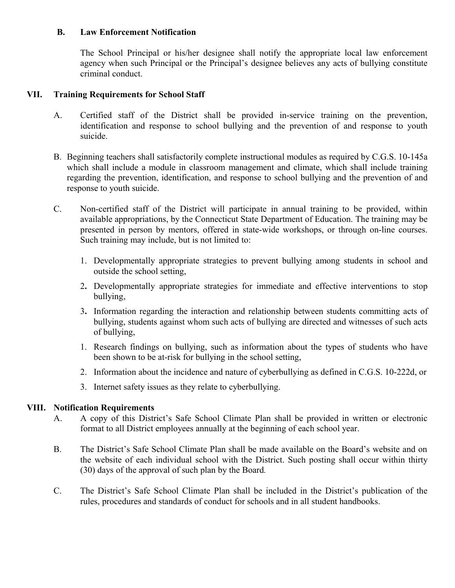# **B. Law Enforcement Notification**

The School Principal or his/her designee shall notify the appropriate local law enforcement agency when such Principal or the Principal's designee believes any acts of bullying constitute criminal conduct.

# **VII. Training Requirements for School Staff**

- A. Certified staff of the District shall be provided in-service training on the prevention, identification and response to school bullying and the prevention of and response to youth suicide.
- B. Beginning teachers shall satisfactorily complete instructional modules as required by C.G.S. 10-145a which shall include a module in classroom management and climate, which shall include training regarding the prevention, identification, and response to school bullying and the prevention of and response to youth suicide.
- C. Non-certified staff of the District will participate in annual training to be provided, within available appropriations, by the Connecticut State Department of Education. The training may be presented in person by mentors, offered in state-wide workshops, or through on-line courses. Such training may include, but is not limited to:
	- 1. Developmentally appropriate strategies to prevent bullying among students in school and outside the school setting,
	- 2**.** Developmentally appropriate strategies for immediate and effective interventions to stop bullying,
	- 3**.** Information regarding the interaction and relationship between students committing acts of bullying, students against whom such acts of bullying are directed and witnesses of such acts of bullying,
	- 1. Research findings on bullying, such as information about the types of students who have been shown to be at-risk for bullying in the school setting,
	- 2. Information about the incidence and nature of cyberbullying as defined in C.G.S. 10-222d, or
	- 3. Internet safety issues as they relate to cyberbullying.

#### **VIII. Notification Requirements**

- A. A copy of this District's Safe School Climate Plan shall be provided in written or electronic format to all District employees annually at the beginning of each school year.
- B. The District's Safe School Climate Plan shall be made available on the Board's website and on the website of each individual school with the District. Such posting shall occur within thirty (30) days of the approval of such plan by the Board*.*
- C. The District's Safe School Climate Plan shall be included in the District's publication of the rules, procedures and standards of conduct for schools and in all student handbooks.